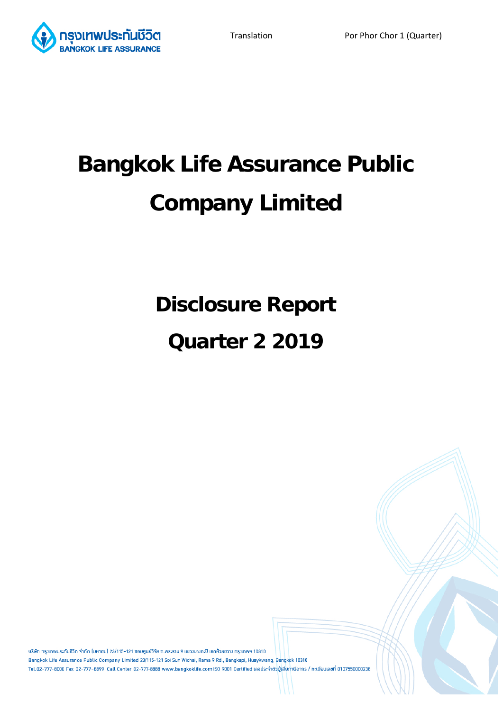

# **Bangkok Life Assurance Public Company Limited**

**Disclosure Report** 

# **Quarter 2 2019**

้บริษัท กรุงเทพประกันชีวิต จำกัด (มหาชน) 23/115-121 ซอยศูนย์วิจัย ถ.พระราม 9 แขวงบางกะปิ เขตห้วยขวาง กรุงเทพฯ 10310 Bangkok Life Assurance Public Company Limited 23/115-121 Soi Sun Wichai, Rama 9 Rd., Bangkapi, Huaykwang, Bangkok 10310 Tel.02-777-8000 Fax 02-777-8899 Call Center 02-777-8888 www.bangkoklife.com ISO 9001 Certified เลขประจำตัวผู้เสียภาษีอากร / ทะเบียนเลขที่ 0107550000238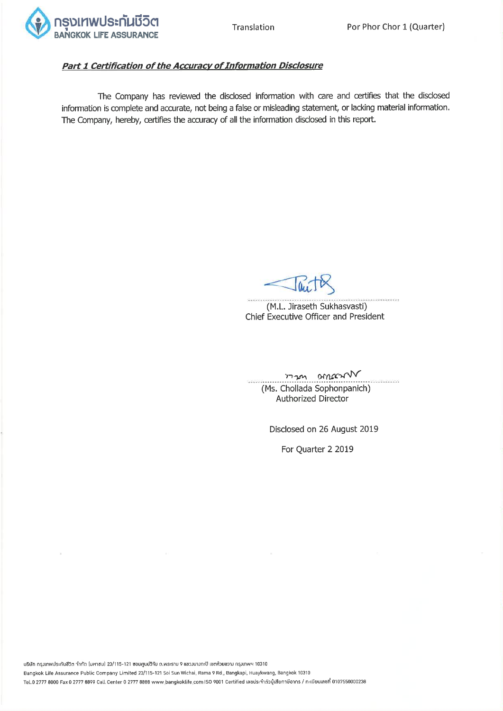

### Part 1 Certification of the Accuracy of Information Disclosure

The Company has reviewed the disclosed information with care and certifies that the disclosed information is complete and accurate, not being a false or misleading statement, or lacking material information. The Company, hereby, certifies the accuracy of all the information disclosed in this report.

(M.L. Jiraseth Sukhasvasti) Chief Executive Officer and President

omacrow  $m_{1}$ (Ms. Chollada Sophonpanich) **Authorized Director** 

Disclosed on 26 August 2019

For Quarter 2 2019

บริษัท กรุมเทพประกันชีวิต จำกัด (มหาซน) 23/115-121 ซอยศูนย์วิจัย ถ.พระราม 9 แขวมนามกะปิ เขตห้วยขวาม กรุมเทพฯ 10310 Bangkok Life Assurance Public Company Limited 23/115-121 Soi Sun Wichai, Rama 9 Rd., Bangkapi, Huaykwang, Bangkok 10310 Tel.0 2777 8000 Fax 0 2777 8899 Call Center 0 2777 8888 www.bangkoklife.com ISO 9001 Certified เลขประจำตัวผู้เสียภาษีอากร / ทะเบียนเลขที่ 0107550000238